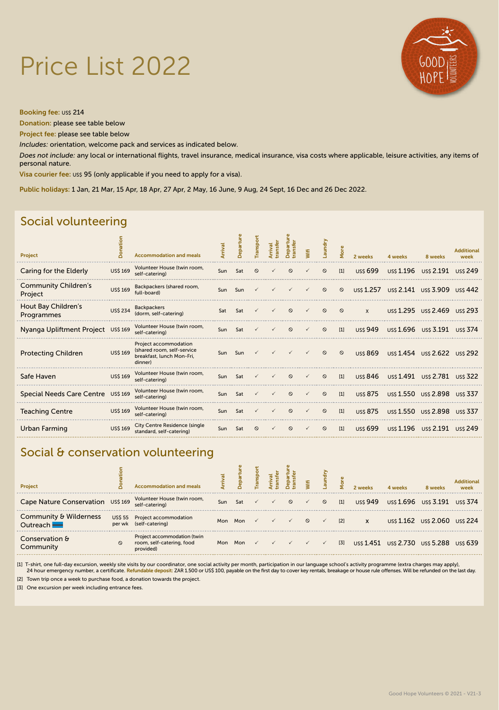# Price List 2022



Booking fee: US\$ 214

Donation: please see table below

Project fee: please see table below

*Includes:* orientation, welcome pack and services as indicated below.

*Does not include:* any local or international flights, travel insurance, medical insurance, visa costs where applicable, leisure activities, any items of personal nature.

Visa courier fee: US\$ 95 (only applicable if you need to apply for a visa).

Public holidays: 1 Jan, 21 Mar, 15 Apr, 18 Apr, 27 Apr, 2 May, 16 June, 9 Aug, 24 Sept, 16 Dec and 26 Dec 2022.

### Social volunteering

| <b>Project</b>                         | Don             | <b>Accommodation and meals</b>                                                              |     | Departu | Transpor | ransfer | Departu<br>tran | Wifi | Laundry | More    | 2 weeks         | 4 weeks                                   | 8 weeks                        | <b>Additional</b><br>week |
|----------------------------------------|-----------------|---------------------------------------------------------------------------------------------|-----|---------|----------|---------|-----------------|------|---------|---------|-----------------|-------------------------------------------|--------------------------------|---------------------------|
| Caring for the Elderly                 | <b>US\$ 169</b> | Volunteer House (twin room,<br>self-catering)                                               | Sun | Sat     | $\Omega$ |         | $\Omega$        |      | $\circ$ | $[1]$   | <b>US\$ 699</b> |                                           | US\$ 1.196 US\$ 2.191 US\$ 249 |                           |
| <b>Community Children's</b><br>Project | <b>US\$ 169</b> | Backpackers (shared room,<br>full-board)                                                    |     | Sun Sun |          |         |                 |      | $\circ$ | $\circ$ |                 | US\$ 1.257 US\$ 2.141 US\$ 3.909 US\$ 442 |                                |                           |
| Hout Bay Children's<br>Programmes      | <b>US\$ 234</b> | <b>Backpackers</b><br>(dorm, self-catering)                                                 | Sat | Sat     |          |         | $\circ$         |      | $\circ$ | $\circ$ | $\mathsf{x}$    |                                           | USS 1.295 USS 2.469 USS 293    |                           |
| Nyanga Upliftment Project US\$169      |                 | Volunteer House (twin room,<br>self-catering)                                               | Sun | Sat     |          |         | $\circ$         |      | $\circ$ | $[1]$   | <b>USS 949</b>  |                                           | US\$ 1.696 US\$ 3.191 US\$ 374 |                           |
| <b>Protecting Children</b>             | <b>US\$ 169</b> | Project accommodation<br>(shared room, self-service<br>breakfast, lunch Mon-Fri,<br>dinner) |     | Sun Sun |          |         |                 |      | $\circ$ | $\circ$ | uss 869         | uss 1.454 uss 2.622 uss 292               |                                |                           |
| Safe Haven                             | <b>US\$ 169</b> | Volunteer House (twin room,<br>self-catering)                                               | Sun | Sat     |          |         | $\circ$         |      | $\circ$ | $[1]$   | uss 846         |                                           | US\$ 1.491 US\$ 2.781 US\$ 322 |                           |
| Special Needs Care Centre US\$ 169     |                 | Volunteer House (twin room,<br>self-catering)                                               | Sun | Sat     |          |         | $\circ$         |      | $\circ$ | $[1]$   | <b>USS 875</b>  |                                           | USS 1.550 USS 2.898 USS 337    |                           |
| <b>Teaching Centre</b>                 | <b>US\$ 169</b> | Volunteer House (twin room,<br>self-catering)                                               | Sun | Sat     |          |         | $\circ$         |      | $\circ$ | $[1]$   | <b>USS 875</b>  |                                           | US\$ 1.550 US\$ 2.898 US\$ 337 |                           |
| Urban Farming                          | <b>US\$ 169</b> | City Centre Residence (single)<br>standard, self-catering)                                  | Sun | Sat     | $\circ$  |         | $\circ$         |      | $\circ$ | $[1]$   | uss 699         |                                           | US\$ 1.196 US\$ 2.191 US\$ 249 |                           |

#### Social & conservation volunteering

| Project                            |         | <b>Accommodation and meals</b>                                        |     | 읍       |              |         |              | $\overline{a}$ |       |                | 4 weeks | 8 weeks                     | <b>Additional</b><br>week |
|------------------------------------|---------|-----------------------------------------------------------------------|-----|---------|--------------|---------|--------------|----------------|-------|----------------|---------|-----------------------------|---------------------------|
| Cape Nature Conservation US\$ 169  |         | Volunteer House (twin room,<br>self-catering)                         | Sun | Sat     |              | $\circ$ |              | $\circ$        | $[1]$ | <b>uss 949</b> |         | US\$ 1.696 US\$ 3.191       | uss 374                   |
| Community & Wilderness<br>Outreach |         | US\$ 55 Project accommodation<br>per wk (self-catering)               |     | Mon Mon |              |         | $\circ$      |                | $[2]$ | X              |         | uss 1.162 uss 2.060 uss 224 |                           |
| Conservation &<br>Communitv        | $\circ$ | Project accommodation (twin<br>room, self-catering, food<br>provided) | Mon | Mon     | $\checkmark$ |         | $\checkmark$ | $\checkmark$   | $[3]$ | uss 1.451      |         | USS 2.730 USS 5.288 USS 639 |                           |

.[1] T-shirt, one full-day excursion, weekly site visits by our coordinator, one social activity per month, participation in our language school's activity programme (extra charges may apply), 24 hour emergency number, a c

[2] Town trip once a week to purchase food, a donation towards the project.

[3] One excursion per week including entrance fees.